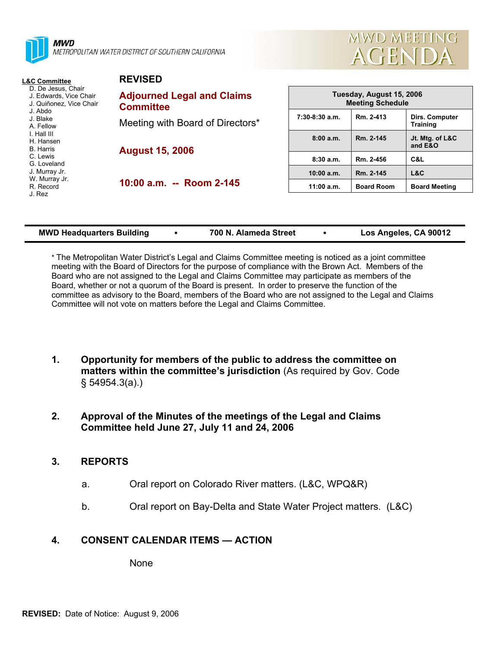

METROPOLITAN WATER DISTRICT OF SOUTHERN CALIFORNIA

**REVISED** 



| <b>L&amp;C Committee</b>                                                                                    | <b>KEVISED</b>                                        |                                                     |                   |                                          |  |
|-------------------------------------------------------------------------------------------------------------|-------------------------------------------------------|-----------------------------------------------------|-------------------|------------------------------------------|--|
| D. De Jesus, Chair<br>J. Edwards, Vice Chair<br>J. Quiñonez. Vice Chair<br>J. Abdo<br>J. Blake<br>A. Fellow | <b>Adjourned Legal and Claims</b><br><b>Committee</b> | Tuesday, August 15, 2006<br><b>Meeting Schedule</b> |                   |                                          |  |
|                                                                                                             | Meeting with Board of Directors*                      | $7:30-8:30$ a.m.                                    | Rm. 2-413         | <b>Dirs. Computer</b><br><b>Training</b> |  |
| I. Hall III<br>H. Hansen<br><b>B.</b> Harris                                                                | <b>August 15, 2006</b>                                | 8:00a.m.                                            | Rm. 2-145         | Jt. Mtg. of L&C<br>and E&O               |  |
| C. Lewis<br>G. Loveland<br>J. Murray Jr.<br>W. Murray Jr.<br>R. Record<br>J. Rez                            |                                                       | 8:30a.m.                                            | Rm. 2-456         | C&L                                      |  |
|                                                                                                             | 10:00 a.m. -- Room 2-145                              | 10:00 a.m.                                          | Rm. 2-145         | L&C                                      |  |
|                                                                                                             |                                                       | 11:00 a.m.                                          | <b>Board Room</b> | <b>Board Meeting</b>                     |  |

| <b>MWD Headquarters Building</b> | 700 N. Alameda Street | Los Angeles, CA 90012 |
|----------------------------------|-----------------------|-----------------------|

\* The Metropolitan Water District's Legal and Claims Committee meeting is noticed as a joint committee meeting with the Board of Directors for the purpose of compliance with the Brown Act. Members of the Board who are not assigned to the Legal and Claims Committee may participate as members of the Board, whether or not a quorum of the Board is present. In order to preserve the function of the committee as advisory to the Board, members of the Board who are not assigned to the Legal and Claims Committee will not vote on matters before the Legal and Claims Committee.

- **1. Opportunity for members of the public to address the committee on matters within the committee's jurisdiction** (As required by Gov. Code § 54954.3(a).)
- **2. Approval of the Minutes of the meetings of the Legal and Claims Committee held June 27, July 11 and 24, 2006**

## **3. REPORTS**

- a. Oral report on Colorado River matters. (L&C, WPQ&R)
- b. Oral report on Bay-Delta and State Water Project matters. (L&C)

# **4. CONSENT CALENDAR ITEMS — ACTION**

None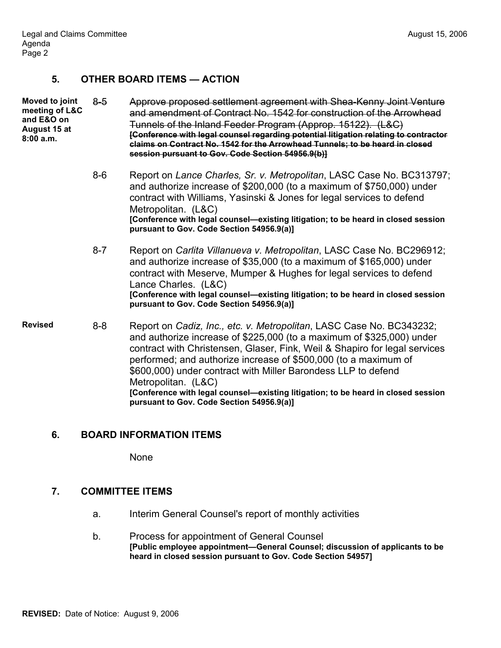### **5. OTHER BOARD ITEMS — ACTION**

| <b>Moved to joint</b><br>meeting of L&C<br>and E&O on<br>August 15 at<br>8:00a.m. | $8 - 5$ | Approve proposed settlement agreement with Shea-Kenny Joint Venture<br>and amendment of Contract No. 1542 for construction of the Arrowhead<br>Tunnels of the Inland Feeder Program (Approp. 15122). (L&C)<br>[Conference with legal counsel regarding potential litigation relating to contractor<br>claims on Contract No. 1542 for the Arrowhead Tunnels; to be heard in closed<br>session pursuant to Gov. Code Section 54956.9(b)]                                                                                  |
|-----------------------------------------------------------------------------------|---------|--------------------------------------------------------------------------------------------------------------------------------------------------------------------------------------------------------------------------------------------------------------------------------------------------------------------------------------------------------------------------------------------------------------------------------------------------------------------------------------------------------------------------|
|                                                                                   | $8-6$   | Report on Lance Charles, Sr. v. Metropolitan, LASC Case No. BC313797;<br>and authorize increase of \$200,000 (to a maximum of \$750,000) under<br>contract with Williams, Yasinski & Jones for legal services to defend<br>Metropolitan. (L&C)<br>[Conference with legal counsel-existing litigation; to be heard in closed session<br>pursuant to Gov. Code Section 54956.9(a)]                                                                                                                                         |
|                                                                                   | $8 - 7$ | Report on Carlita Villanueva v. Metropolitan, LASC Case No. BC296912;<br>and authorize increase of \$35,000 (to a maximum of \$165,000) under<br>contract with Meserve, Mumper & Hughes for legal services to defend<br>Lance Charles. (L&C)<br>[Conference with legal counsel-existing litigation; to be heard in closed session<br>pursuant to Gov. Code Section 54956.9(a)]                                                                                                                                           |
| <b>Revised</b>                                                                    | $8 - 8$ | Report on Cadiz, Inc., etc. v. Metropolitan, LASC Case No. BC343232;<br>and authorize increase of \$225,000 (to a maximum of \$325,000) under<br>contract with Christensen, Glaser, Fink, Weil & Shapiro for legal services<br>performed; and authorize increase of \$500,000 (to a maximum of<br>\$600,000) under contract with Miller Barondess LLP to defend<br>Metropolitan. (L&C)<br>[Conference with legal counsel-existing litigation; to be heard in closed session<br>pursuant to Gov. Code Section 54956.9(a)] |
|                                                                                   |         |                                                                                                                                                                                                                                                                                                                                                                                                                                                                                                                          |

#### **6. BOARD INFORMATION ITEMS**

None

## **7. COMMITTEE ITEMS**

- a. Interim General Counsel's report of monthly activities
- b. Process for appointment of General Counsel **[Public employee appointment—General Counsel; discussion of applicants to be heard in closed session pursuant to Gov. Code Section 54957]**